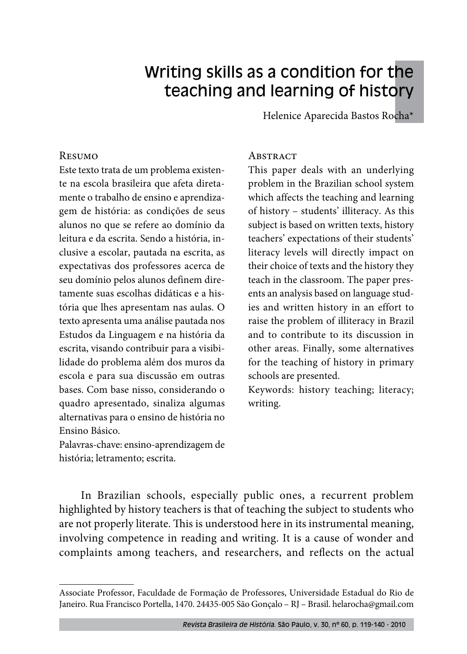# Writing skills as a condition for the teaching and learning of history

Helenice Aparecida Bastos Rocha\*

#### Resumo

Este texto trata de um problema existente na escola brasileira que afeta diretamente o trabalho de ensino e aprendizagem de história: as condições de seus alunos no que se refere ao domínio da leitura e da escrita. Sendo a história, inclusive a escolar, pautada na escrita, as expectativas dos professores acerca de seu domínio pelos alunos definem diretamente suas escolhas didáticas e a história que lhes apresentam nas aulas. O texto apresenta uma análise pautada nos Estudos da Linguagem e na história da escrita, visando contribuir para a visibilidade do problema além dos muros da escola e para sua discussão em outras bases. Com base nisso, considerando o quadro apresentado, sinaliza algumas alternativas para o ensino de história no Ensino Básico.

Palavras-chave: ensino-aprendizagem de história; letramento; escrita.

#### **ABSTRACT**

This paper deals with an underlying problem in the Brazilian school system which affects the teaching and learning of history – students' illiteracy. As this subject is based on written texts, history teachers' expectations of their students' literacy levels will directly impact on their choice of texts and the history they teach in the classroom. The paper presents an analysis based on language studies and written history in an effort to raise the problem of illiteracy in Brazil and to contribute to its discussion in other areas. Finally, some alternatives for the teaching of history in primary schools are presented.

Keywords: history teaching; literacy; writing.

In Brazilian schools, especially public ones, a recurrent problem highlighted by history teachers is that of teaching the subject to students who are not properly literate. This is understood here in its instrumental meaning, involving competence in reading and writing. It is a cause of wonder and complaints among teachers, and researchers, and reflects on the actual

Associate Professor, Faculdade de Formação de Professores, Universidade Estadual do Rio de Janeiro. Rua Francisco Portella, 1470. 24435-005 São Gonçalo – RJ – Brasil. helarocha@gmail.com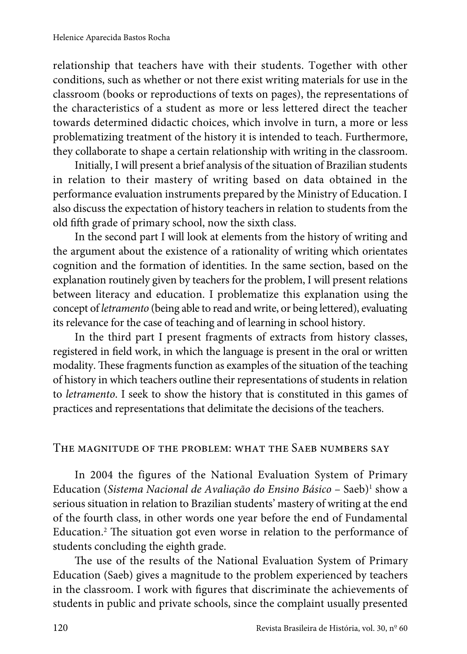relationship that teachers have with their students. Together with other conditions, such as whether or not there exist writing materials for use in the classroom (books or reproductions of texts on pages), the representations of the characteristics of a student as more or less lettered direct the teacher towards determined didactic choices, which involve in turn, a more or less problematizing treatment of the history it is intended to teach. Furthermore, they collaborate to shape a certain relationship with writing in the classroom.

Initially, I will present a brief analysis of the situation of Brazilian students in relation to their mastery of writing based on data obtained in the performance evaluation instruments prepared by the Ministry of Education. I also discuss the expectation of history teachers in relation to students from the old fifth grade of primary school, now the sixth class.

In the second part I will look at elements from the history of writing and the argument about the existence of a rationality of writing which orientates cognition and the formation of identities. In the same section, based on the explanation routinely given by teachers for the problem, I will present relations between literacy and education. I problematize this explanation using the concept of *letramento* (being able to read and write, or being lettered), evaluating its relevance for the case of teaching and of learning in school history.

In the third part I present fragments of extracts from history classes, registered in field work, in which the language is present in the oral or written modality. These fragments function as examples of the situation of the teaching of history in which teachers outline their representations of students in relation to *letramento*. I seek to show the history that is constituted in this games of practices and representations that delimitate the decisions of the teachers.

#### The magnitude of the problem: what the Saeb numbers say

In 2004 the figures of the National Evaluation System of Primary Education (*Sistema Nacional de Avaliação do Ensino Básico –* Saeb)<sup>1</sup> show a serious situation in relation to Brazilian students' mastery of writing at the end of the fourth class, in other words one year before the end of Fundamental Education.2 The situation got even worse in relation to the performance of students concluding the eighth grade.

The use of the results of the National Evaluation System of Primary Education (Saeb) gives a magnitude to the problem experienced by teachers in the classroom. I work with figures that discriminate the achievements of students in public and private schools, since the complaint usually presented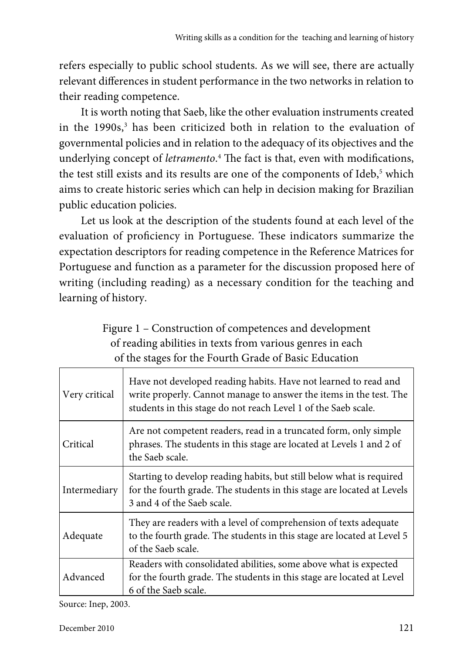refers especially to public school students. As we will see, there are actually relevant differences in student performance in the two networks in relation to their reading competence.

It is worth noting that Saeb, like the other evaluation instruments created in the 1990s,<sup>3</sup> has been criticized both in relation to the evaluation of governmental policies and in relation to the adequacy of its objectives and the underlying concept of *letramento*. 4 The fact is that, even with modifications, the test still exists and its results are one of the components of Ideb,<sup>5</sup> which aims to create historic series which can help in decision making for Brazilian public education policies.

Let us look at the description of the students found at each level of the evaluation of proficiency in Portuguese. These indicators summarize the expectation descriptors for reading competence in the Reference Matrices for Portuguese and function as a parameter for the discussion proposed here of writing (including reading) as a necessary condition for the teaching and learning of history.

> Figure 1 – Construction of competences and development of reading abilities in texts from various genres in each of the stages for the Fourth Grade of Basic Education

| Very critical | Have not developed reading habits. Have not learned to read and<br>write properly. Cannot manage to answer the items in the test. The<br>students in this stage do not reach Level 1 of the Saeb scale. |  |  |  |  |  |
|---------------|---------------------------------------------------------------------------------------------------------------------------------------------------------------------------------------------------------|--|--|--|--|--|
| Critical      | Are not competent readers, read in a truncated form, only simple<br>phrases. The students in this stage are located at Levels 1 and 2 of<br>the Saeb scale.                                             |  |  |  |  |  |
| Intermediary  | Starting to develop reading habits, but still below what is required<br>for the fourth grade. The students in this stage are located at Levels<br>3 and 4 of the Saeb scale.                            |  |  |  |  |  |
| Adequate      | They are readers with a level of comprehension of texts adequate<br>to the fourth grade. The students in this stage are located at Level 5<br>of the Saeb scale.                                        |  |  |  |  |  |
| Advanced      | Readers with consolidated abilities, some above what is expected<br>for the fourth grade. The students in this stage are located at Level<br>6 of the Saeb scale.                                       |  |  |  |  |  |

Source: Inep, 2003.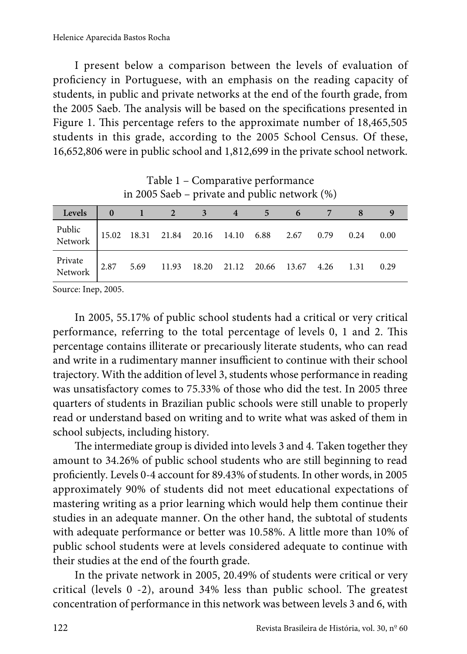I present below a comparison between the levels of evaluation of proficiency in Portuguese, with an emphasis on the reading capacity of students, in public and private networks at the end of the fourth grade, from the 2005 Saeb. The analysis will be based on the specifications presented in Figure 1. This percentage refers to the approximate number of 18,465,505 students in this grade, according to the 2005 School Census. Of these, 16,652,806 were in public school and 1,812,699 in the private school network.

| In 2005 Saep – private and public network $(\%)$ |          |              |                                                                                          |  |                |   |                                         |      |      |      |  |  |
|--------------------------------------------------|----------|--------------|------------------------------------------------------------------------------------------|--|----------------|---|-----------------------------------------|------|------|------|--|--|
| Levels                                           | $\bf{0}$ | $\mathbf{1}$ | $\overline{\phantom{a}}$ 2                                                               |  | $\overline{4}$ | 5 |                                         |      |      |      |  |  |
| Public<br>Network                                |          |              | $\begin{array}{ rrrrrr} 15.02 & 18.31 & 21.84 & 20.16 & 14.10 & 6.88 & 2.67 \end{array}$ |  |                |   |                                         | 0.79 | 0.24 | 0.00 |  |  |
| Private<br>Network                               | 2.87     |              |                                                                                          |  |                |   | 5.69 11.93 18.20 21.12 20.66 13.67 4.26 |      | 1.31 | 0.29 |  |  |

Table 1 – Comparative performance  $\frac{1}{2}$  and  $\frac{1}{2}$  saturate and public network ( $\frac{1}{2}$ )

Source: Inep, 2005.

In 2005, 55.17% of public school students had a critical or very critical performance, referring to the total percentage of levels 0, 1 and 2. This percentage contains illiterate or precariously literate students, who can read and write in a rudimentary manner insufficient to continue with their school trajectory. With the addition of level 3, students whose performance in reading was unsatisfactory comes to 75.33% of those who did the test. In 2005 three quarters of students in Brazilian public schools were still unable to properly read or understand based on writing and to write what was asked of them in school subjects, including history.

The intermediate group is divided into levels 3 and 4. Taken together they amount to 34.26% of public school students who are still beginning to read proficiently. Levels 0-4 account for 89.43% of students. In other words, in 2005 approximately 90% of students did not meet educational expectations of mastering writing as a prior learning which would help them continue their studies in an adequate manner. On the other hand, the subtotal of students with adequate performance or better was 10.58%. A little more than 10% of public school students were at levels considered adequate to continue with their studies at the end of the fourth grade.

In the private network in 2005, 20.49% of students were critical or very critical (levels 0 -2), around 34% less than public school. The greatest concentration of performance in this network was between levels 3 and 6, with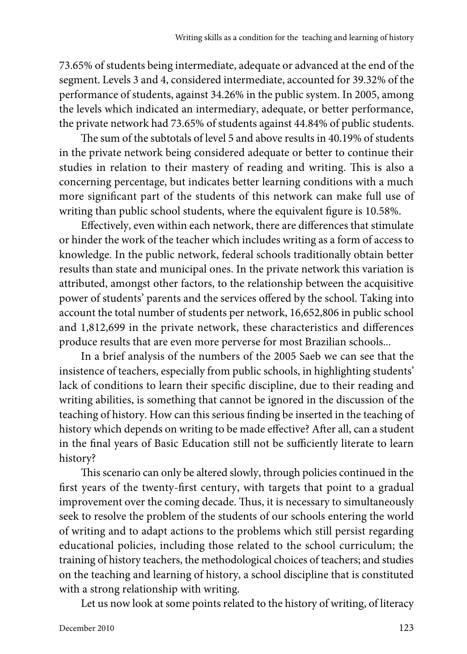73.65% of students being intermediate, adequate or advanced at the end of the segment. Levels 3 and 4, considered intermediate, accounted for 39.32% of the performance of students, against 34.26% in the public system. In 2005, among the levels which indicated an intermediary, adequate, or better performance, the private network had 73.65% of students against 44.84% of public students.

The sum of the subtotals of level 5 and above results in 40.19% of students in the private network being considered adequate or better to continue their studies in relation to their mastery of reading and writing. This is also a concerning percentage, but indicates better learning conditions with a much more significant part of the students of this network can make full use of writing than public school students, where the equivalent figure is 10.58%.

Effectively, even within each network, there are differences that stimulate or hinder the work of the teacher which includes writing as a form of access to knowledge. In the public network, federal schools traditionally obtain better results than state and municipal ones. In the private network this variation is attributed, amongst other factors, to the relationship between the acquisitive power of students' parents and the services offered by the school. Taking into account the total number of students per network, 16,652,806 in public school and 1,812,699 in the private network, these characteristics and differences produce results that are even more perverse for most Brazilian schools...

In a brief analysis of the numbers of the 2005 Saeb we can see that the insistence of teachers, especially from public schools, in highlighting students' lack of conditions to learn their specific discipline, due to their reading and writing abilities, is something that cannot be ignored in the discussion of the teaching of history. How can this serious finding be inserted in the teaching of history which depends on writing to be made effective? After all, can a student in the final years of Basic Education still not be sufficiently literate to learn history?

This scenario can only be altered slowly, through policies continued in the first years of the twenty-first century, with targets that point to a gradual improvement over the coming decade. Thus, it is necessary to simultaneously seek to resolve the problem of the students of our schools entering the world of writing and to adapt actions to the problems which still persist regarding educational policies, including those related to the school curriculum; the training of history teachers, the methodological choices of teachers; and studies on the teaching and learning of history, a school discipline that is constituted with a strong relationship with writing.

Let us now look at some points related to the history of writing, of literacy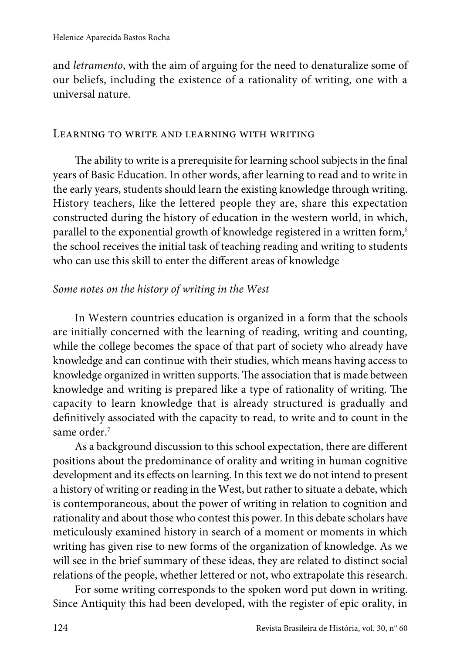and *letramento*, with the aim of arguing for the need to denaturalize some of our beliefs, including the existence of a rationality of writing, one with a universal nature.

#### Learning to write and learning with writing

The ability to write is a prerequisite for learning school subjects in the final years of Basic Education. In other words, after learning to read and to write in the early years, students should learn the existing knowledge through writing. History teachers, like the lettered people they are, share this expectation constructed during the history of education in the western world, in which, parallel to the exponential growth of knowledge registered in a written form,<sup>6</sup> the school receives the initial task of teaching reading and writing to students who can use this skill to enter the different areas of knowledge

#### *Some notes on the history of writing in the West*

In Western countries education is organized in a form that the schools are initially concerned with the learning of reading, writing and counting, while the college becomes the space of that part of society who already have knowledge and can continue with their studies, which means having access to knowledge organized in written supports. The association that is made between knowledge and writing is prepared like a type of rationality of writing. The capacity to learn knowledge that is already structured is gradually and definitively associated with the capacity to read, to write and to count in the same order<sup>7</sup>

As a background discussion to this school expectation, there are different positions about the predominance of orality and writing in human cognitive development and its effects on learning. In this text we do not intend to present a history of writing or reading in the West, but rather to situate a debate, which is contemporaneous, about the power of writing in relation to cognition and rationality and about those who contest this power. In this debate scholars have meticulously examined history in search of a moment or moments in which writing has given rise to new forms of the organization of knowledge. As we will see in the brief summary of these ideas, they are related to distinct social relations of the people, whether lettered or not, who extrapolate this research.

For some writing corresponds to the spoken word put down in writing. Since Antiquity this had been developed, with the register of epic orality, in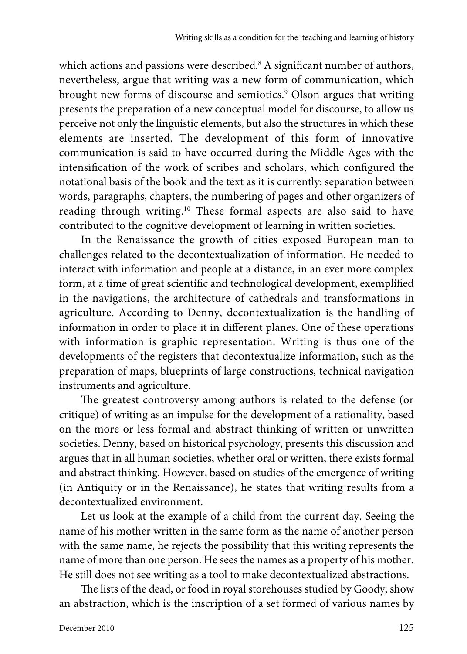which actions and passions were described.<sup>8</sup> A significant number of authors, nevertheless, argue that writing was a new form of communication, which brought new forms of discourse and semiotics.9 Olson argues that writing presents the preparation of a new conceptual model for discourse, to allow us perceive not only the linguistic elements, but also the structures in which these elements are inserted. The development of this form of innovative communication is said to have occurred during the Middle Ages with the intensification of the work of scribes and scholars, which configured the notational basis of the book and the text as it is currently: separation between words, paragraphs, chapters, the numbering of pages and other organizers of reading through writing.<sup>10</sup> These formal aspects are also said to have contributed to the cognitive development of learning in written societies.

In the Renaissance the growth of cities exposed European man to challenges related to the decontextualization of information. He needed to interact with information and people at a distance, in an ever more complex form, at a time of great scientific and technological development, exemplified in the navigations, the architecture of cathedrals and transformations in agriculture. According to Denny, decontextualization is the handling of information in order to place it in different planes. One of these operations with information is graphic representation. Writing is thus one of the developments of the registers that decontextualize information, such as the preparation of maps, blueprints of large constructions, technical navigation instruments and agriculture.

The greatest controversy among authors is related to the defense (or critique) of writing as an impulse for the development of a rationality, based on the more or less formal and abstract thinking of written or unwritten societies. Denny, based on historical psychology, presents this discussion and argues that in all human societies, whether oral or written, there exists formal and abstract thinking. However, based on studies of the emergence of writing (in Antiquity or in the Renaissance), he states that writing results from a decontextualized environment.

Let us look at the example of a child from the current day. Seeing the name of his mother written in the same form as the name of another person with the same name, he rejects the possibility that this writing represents the name of more than one person. He sees the names as a property of his mother. He still does not see writing as a tool to make decontextualized abstractions.

The lists of the dead, or food in royal storehouses studied by Goody, show an abstraction, which is the inscription of a set formed of various names by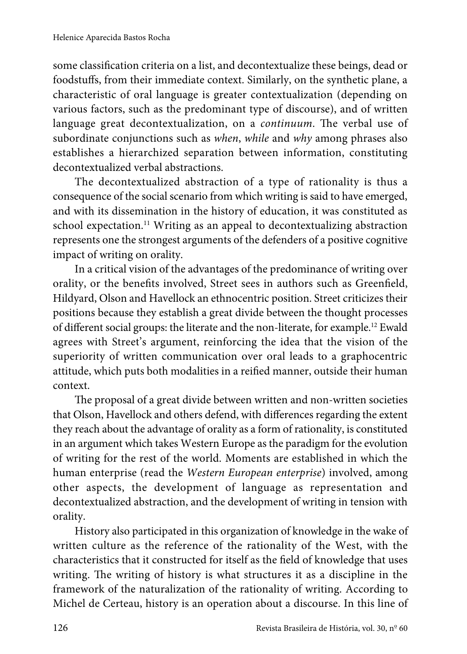some classification criteria on a list, and decontextualize these beings, dead or foodstuffs, from their immediate context. Similarly, on the synthetic plane, a characteristic of oral language is greater contextualization (depending on various factors, such as the predominant type of discourse), and of written language great decontextualization, on a *continuum*. The verbal use of subordinate conjunctions such as *when*, *while* and *why* among phrases also establishes a hierarchized separation between information, constituting decontextualized verbal abstractions.

The decontextualized abstraction of a type of rationality is thus a consequence of the social scenario from which writing is said to have emerged, and with its dissemination in the history of education, it was constituted as school expectation.<sup>11</sup> Writing as an appeal to decontextualizing abstraction represents one the strongest arguments of the defenders of a positive cognitive impact of writing on orality.

In a critical vision of the advantages of the predominance of writing over orality, or the benefits involved, Street sees in authors such as Greenfield, Hildyard, Olson and Havellock an ethnocentric position. Street criticizes their positions because they establish a great divide between the thought processes of different social groups: the literate and the non-literate, for example.12 Ewald agrees with Street's argument, reinforcing the idea that the vision of the superiority of written communication over oral leads to a graphocentric attitude, which puts both modalities in a reified manner, outside their human context.

The proposal of a great divide between written and non-written societies that Olson, Havellock and others defend, with differences regarding the extent they reach about the advantage of orality as a form of rationality, is constituted in an argument which takes Western Europe as the paradigm for the evolution of writing for the rest of the world. Moments are established in which the human enterprise (read the *Western European enterprise*) involved, among other aspects, the development of language as representation and decontextualized abstraction, and the development of writing in tension with orality.

History also participated in this organization of knowledge in the wake of written culture as the reference of the rationality of the West, with the characteristics that it constructed for itself as the field of knowledge that uses writing. The writing of history is what structures it as a discipline in the framework of the naturalization of the rationality of writing. According to Michel de Certeau, history is an operation about a discourse. In this line of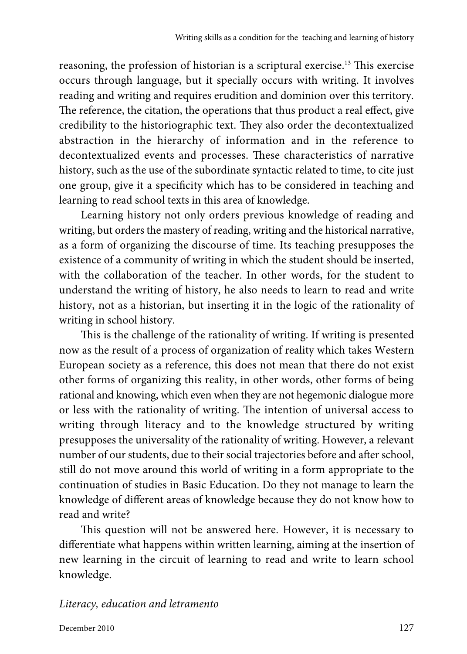reasoning, the profession of historian is a scriptural exercise.<sup>13</sup> This exercise occurs through language, but it specially occurs with writing. It involves reading and writing and requires erudition and dominion over this territory. The reference, the citation, the operations that thus product a real effect, give credibility to the historiographic text. They also order the decontextualized abstraction in the hierarchy of information and in the reference to decontextualized events and processes. These characteristics of narrative history, such as the use of the subordinate syntactic related to time, to cite just one group, give it a specificity which has to be considered in teaching and learning to read school texts in this area of knowledge.

Learning history not only orders previous knowledge of reading and writing, but orders the mastery of reading, writing and the historical narrative, as a form of organizing the discourse of time. Its teaching presupposes the existence of a community of writing in which the student should be inserted, with the collaboration of the teacher. In other words, for the student to understand the writing of history, he also needs to learn to read and write history, not as a historian, but inserting it in the logic of the rationality of writing in school history.

This is the challenge of the rationality of writing. If writing is presented now as the result of a process of organization of reality which takes Western European society as a reference, this does not mean that there do not exist other forms of organizing this reality, in other words, other forms of being rational and knowing, which even when they are not hegemonic dialogue more or less with the rationality of writing. The intention of universal access to writing through literacy and to the knowledge structured by writing presupposes the universality of the rationality of writing. However, a relevant number of our students, due to their social trajectories before and after school, still do not move around this world of writing in a form appropriate to the continuation of studies in Basic Education. Do they not manage to learn the knowledge of different areas of knowledge because they do not know how to read and write?

This question will not be answered here. However, it is necessary to differentiate what happens within written learning, aiming at the insertion of new learning in the circuit of learning to read and write to learn school knowledge.

#### *Literacy, education and letramento*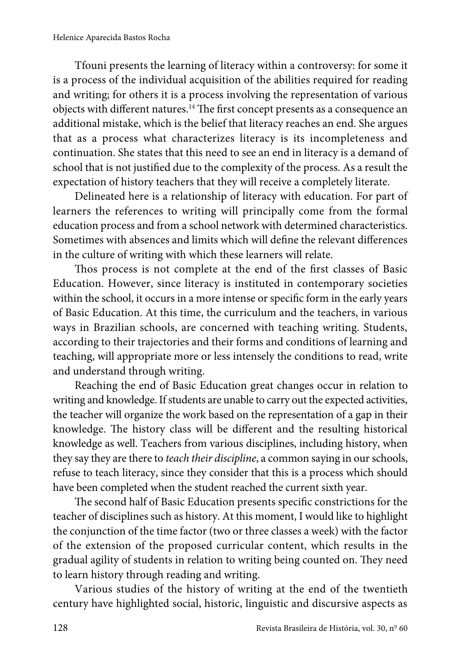Tfouni presents the learning of literacy within a controversy: for some it is a process of the individual acquisition of the abilities required for reading and writing; for others it is a process involving the representation of various objects with different natures.14 The first concept presents as a consequence an additional mistake, which is the belief that literacy reaches an end. She argues that as a process what characterizes literacy is its incompleteness and continuation. She states that this need to see an end in literacy is a demand of school that is not justified due to the complexity of the process. As a result the expectation of history teachers that they will receive a completely literate.

Delineated here is a relationship of literacy with education. For part of learners the references to writing will principally come from the formal education process and from a school network with determined characteristics. Sometimes with absences and limits which will define the relevant differences in the culture of writing with which these learners will relate.

Thos process is not complete at the end of the first classes of Basic Education. However, since literacy is instituted in contemporary societies within the school, it occurs in a more intense or specific form in the early years of Basic Education. At this time, the curriculum and the teachers, in various ways in Brazilian schools, are concerned with teaching writing. Students, according to their trajectories and their forms and conditions of learning and teaching, will appropriate more or less intensely the conditions to read, write and understand through writing.

Reaching the end of Basic Education great changes occur in relation to writing and knowledge. If students are unable to carry out the expected activities, the teacher will organize the work based on the representation of a gap in their knowledge. The history class will be different and the resulting historical knowledge as well. Teachers from various disciplines, including history, when they say they are there to *teach their discipline*, a common saying in our schools, refuse to teach literacy, since they consider that this is a process which should have been completed when the student reached the current sixth year.

The second half of Basic Education presents specific constrictions for the teacher of disciplines such as history. At this moment, I would like to highlight the conjunction of the time factor (two or three classes a week) with the factor of the extension of the proposed curricular content, which results in the gradual agility of students in relation to writing being counted on. They need to learn history through reading and writing.

Various studies of the history of writing at the end of the twentieth century have highlighted social, historic, linguistic and discursive aspects as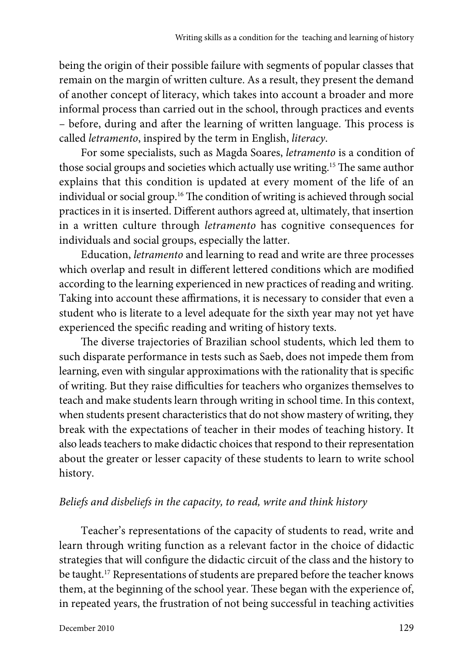being the origin of their possible failure with segments of popular classes that remain on the margin of written culture. As a result, they present the demand of another concept of literacy, which takes into account a broader and more informal process than carried out in the school, through practices and events – before, during and after the learning of written language. This process is called *letramento*, inspired by the term in English, *literacy*.

For some specialists, such as Magda Soares, *letramento* is a condition of those social groups and societies which actually use writing.15 The same author explains that this condition is updated at every moment of the life of an individual or social group.<sup>16</sup> The condition of writing is achieved through social practices in it is inserted. Different authors agreed at, ultimately, that insertion in a written culture through *letramento* has cognitive consequences for individuals and social groups, especially the latter.

Education, *letramento* and learning to read and write are three processes which overlap and result in different lettered conditions which are modified according to the learning experienced in new practices of reading and writing. Taking into account these affirmations, it is necessary to consider that even a student who is literate to a level adequate for the sixth year may not yet have experienced the specific reading and writing of history texts.

The diverse trajectories of Brazilian school students, which led them to such disparate performance in tests such as Saeb, does not impede them from learning, even with singular approximations with the rationality that is specific of writing. But they raise difficulties for teachers who organizes themselves to teach and make students learn through writing in school time. In this context, when students present characteristics that do not show mastery of writing, they break with the expectations of teacher in their modes of teaching history. It also leads teachers to make didactic choices that respond to their representation about the greater or lesser capacity of these students to learn to write school history.

## *Beliefs and disbeliefs in the capacity, to read, write and think history*

Teacher's representations of the capacity of students to read, write and learn through writing function as a relevant factor in the choice of didactic strategies that will configure the didactic circuit of the class and the history to be taught.17 Representations of students are prepared before the teacher knows them, at the beginning of the school year. These began with the experience of, in repeated years, the frustration of not being successful in teaching activities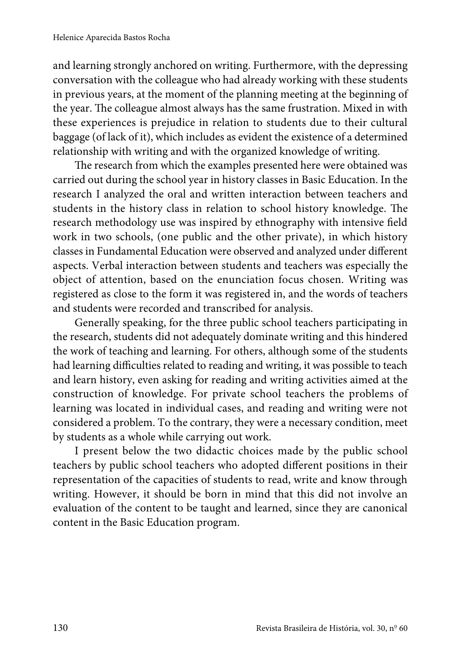and learning strongly anchored on writing. Furthermore, with the depressing conversation with the colleague who had already working with these students in previous years, at the moment of the planning meeting at the beginning of the year. The colleague almost always has the same frustration. Mixed in with these experiences is prejudice in relation to students due to their cultural baggage (of lack of it), which includes as evident the existence of a determined relationship with writing and with the organized knowledge of writing.

The research from which the examples presented here were obtained was carried out during the school year in history classes in Basic Education. In the research I analyzed the oral and written interaction between teachers and students in the history class in relation to school history knowledge. The research methodology use was inspired by ethnography with intensive field work in two schools, (one public and the other private), in which history classes in Fundamental Education were observed and analyzed under different aspects. Verbal interaction between students and teachers was especially the object of attention, based on the enunciation focus chosen. Writing was registered as close to the form it was registered in, and the words of teachers and students were recorded and transcribed for analysis.

Generally speaking, for the three public school teachers participating in the research, students did not adequately dominate writing and this hindered the work of teaching and learning. For others, although some of the students had learning difficulties related to reading and writing, it was possible to teach and learn history, even asking for reading and writing activities aimed at the construction of knowledge. For private school teachers the problems of learning was located in individual cases, and reading and writing were not considered a problem. To the contrary, they were a necessary condition, meet by students as a whole while carrying out work.

I present below the two didactic choices made by the public school teachers by public school teachers who adopted different positions in their representation of the capacities of students to read, write and know through writing. However, it should be born in mind that this did not involve an evaluation of the content to be taught and learned, since they are canonical content in the Basic Education program.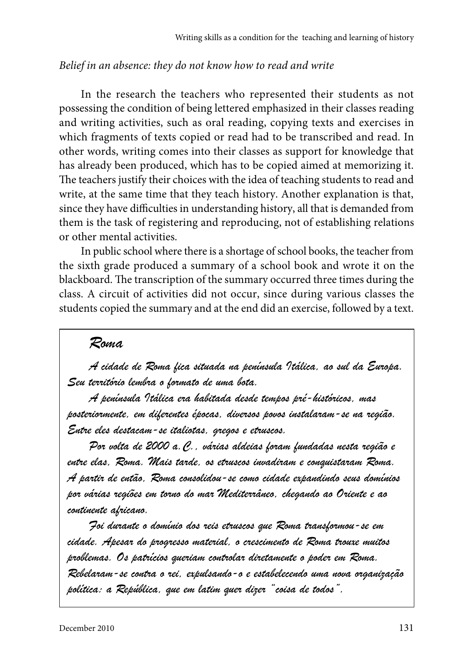### *Belief in an absence: they do not know how to read and write*

In the research the teachers who represented their students as not possessing the condition of being lettered emphasized in their classes reading and writing activities, such as oral reading, copying texts and exercises in which fragments of texts copied or read had to be transcribed and read. In other words, writing comes into their classes as support for knowledge that has already been produced, which has to be copied aimed at memorizing it. The teachers justify their choices with the idea of teaching students to read and write, at the same time that they teach history. Another explanation is that, since they have difficulties in understanding history, all that is demanded from them is the task of registering and reproducing, not of establishing relations or other mental activities.

In public school where there is a shortage of school books, the teacher from the sixth grade produced a summary of a school book and wrote it on the blackboard. The transcription of the summary occurred three times during the class. A circuit of activities did not occur, since during various classes the students copied the summary and at the end did an exercise, followed by a text.

# *Roma*

*A cidade de Roma fica situada na península Itálica, ao sul da Europa. Seu território lembra o formato de uma bota.*

*A península Itálica era habitada desde tempos pré-históricos, mas posteriormente, em diferentes épocas, diversos povos instalaram-se na região. Entre eles destacam-se italiotas, gregos e etruscos.*

*Por volta de 2000 a.C., várias aldeias foram fundadas nesta região e entre elas, Roma. Mais tarde, os etruscos invadiram e conquistaram Roma. A partir de então, Roma consolidou-se como cidade expandindo seus domínios por várias regiões em torno do mar Mediterrâneo, chegando ao Oriente e ao continente africano.*

*Foi durante o domínio dos reis etruscos que Roma transformou-se em cidade. Apesar do progresso material, o crescimento de Roma trouxe muitos problemas. Os patrícios queriam controlar diretamente o poder em Roma. Rebelaram-se contra o rei, expulsando-o e estabelecendo uma nova organização política: a República, que em latim quer dizer "coisa de todos".*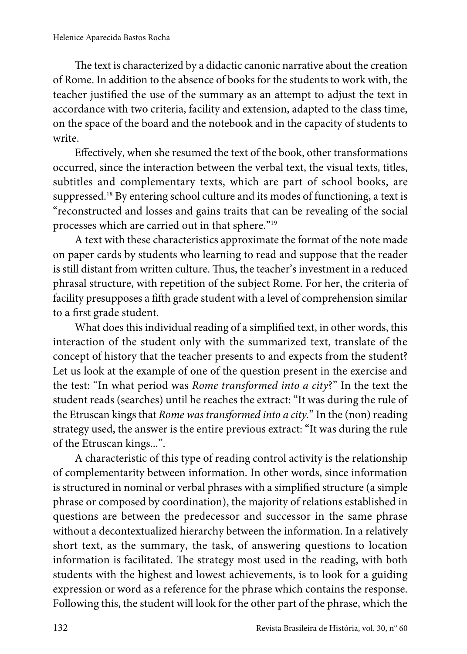The text is characterized by a didactic canonic narrative about the creation of Rome. In addition to the absence of books for the students to work with, the teacher justified the use of the summary as an attempt to adjust the text in accordance with two criteria, facility and extension, adapted to the class time, on the space of the board and the notebook and in the capacity of students to write.

Effectively, when she resumed the text of the book, other transformations occurred, since the interaction between the verbal text, the visual texts, titles, subtitles and complementary texts, which are part of school books, are suppressed.18 By entering school culture and its modes of functioning, a text is "reconstructed and losses and gains traits that can be revealing of the social processes which are carried out in that sphere."19

A text with these characteristics approximate the format of the note made on paper cards by students who learning to read and suppose that the reader is still distant from written culture. Thus, the teacher's investment in a reduced phrasal structure, with repetition of the subject Rome. For her, the criteria of facility presupposes a fifth grade student with a level of comprehension similar to a first grade student.

What does this individual reading of a simplified text, in other words, this interaction of the student only with the summarized text, translate of the concept of history that the teacher presents to and expects from the student? Let us look at the example of one of the question present in the exercise and the test: "In what period was *Rome transformed into a city*?" In the text the student reads (searches) until he reaches the extract: "It was during the rule of the Etruscan kings that *Rome was transformed into a city.*" In the (non) reading strategy used, the answer is the entire previous extract: "It was during the rule of the Etruscan kings...".

A characteristic of this type of reading control activity is the relationship of complementarity between information. In other words, since information is structured in nominal or verbal phrases with a simplified structure (a simple phrase or composed by coordination), the majority of relations established in questions are between the predecessor and successor in the same phrase without a decontextualized hierarchy between the information. In a relatively short text, as the summary, the task, of answering questions to location information is facilitated. The strategy most used in the reading, with both students with the highest and lowest achievements, is to look for a guiding expression or word as a reference for the phrase which contains the response. Following this, the student will look for the other part of the phrase, which the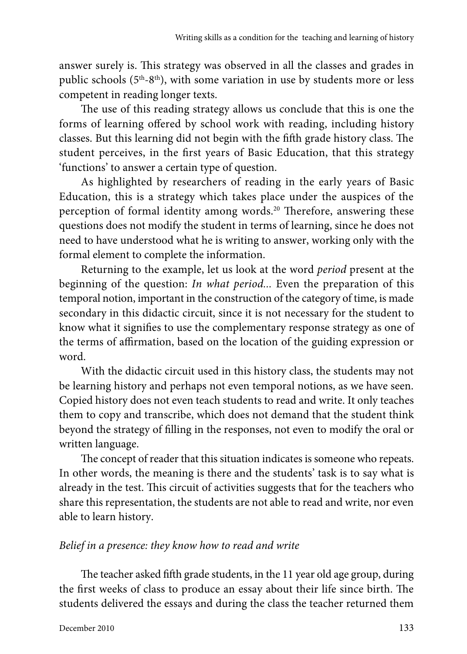answer surely is. This strategy was observed in all the classes and grades in public schools (5<sup>th</sup>-8<sup>th</sup>), with some variation in use by students more or less competent in reading longer texts.

The use of this reading strategy allows us conclude that this is one the forms of learning offered by school work with reading, including history classes. But this learning did not begin with the fifth grade history class. The student perceives, in the first years of Basic Education, that this strategy 'functions' to answer a certain type of question.

As highlighted by researchers of reading in the early years of Basic Education, this is a strategy which takes place under the auspices of the perception of formal identity among words.<sup>20</sup> Therefore, answering these questions does not modify the student in terms of learning, since he does not need to have understood what he is writing to answer, working only with the formal element to complete the information.

Returning to the example, let us look at the word *period* present at the beginning of the question: *In what period...* Even the preparation of this temporal notion, important in the construction of the category of time, is made secondary in this didactic circuit, since it is not necessary for the student to know what it signifies to use the complementary response strategy as one of the terms of affirmation, based on the location of the guiding expression or word.

With the didactic circuit used in this history class, the students may not be learning history and perhaps not even temporal notions, as we have seen. Copied history does not even teach students to read and write. It only teaches them to copy and transcribe, which does not demand that the student think beyond the strategy of filling in the responses, not even to modify the oral or written language.

The concept of reader that this situation indicates is someone who repeats. In other words, the meaning is there and the students' task is to say what is already in the test. This circuit of activities suggests that for the teachers who share this representation, the students are not able to read and write, nor even able to learn history.

#### *Belief in a presence: they know how to read and write*

The teacher asked fifth grade students, in the 11 year old age group, during the first weeks of class to produce an essay about their life since birth. The students delivered the essays and during the class the teacher returned them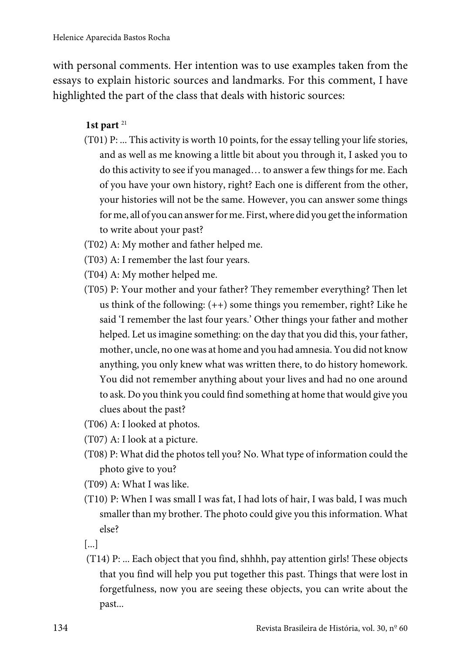with personal comments. Her intention was to use examples taken from the essays to explain historic sources and landmarks. For this comment, I have highlighted the part of the class that deals with historic sources:

### **1st part** <sup>21</sup>

- (T01) P: ... This activity is worth 10 points, for the essay telling your life stories, and as well as me knowing a little bit about you through it, I asked you to do this activity to see if you managed… to answer a few things for me. Each of you have your own history, right? Each one is different from the other, your histories will not be the same. However, you can answer some things for me, all of you can answer for me. First, where did you get the information to write about your past?
- (T02) A: My mother and father helped me.
- (T03) A: I remember the last four years.
- (T04) A: My mother helped me.
- (T05) P: Your mother and your father? They remember everything? Then let us think of the following: (++) some things you remember, right? Like he said 'I remember the last four years.' Other things your father and mother helped. Let us imagine something: on the day that you did this, your father, mother, uncle, no one was at home and you had amnesia. You did not know anything, you only knew what was written there, to do history homework. You did not remember anything about your lives and had no one around to ask. Do you think you could find something at home that would give you clues about the past?
- (T06) A: I looked at photos.
- (T07) A: I look at a picture.
- (T08) P: What did the photos tell you? No. What type of information could the photo give to you?
- (T09) A: What I was like.
- (T10) P: When I was small I was fat, I had lots of hair, I was bald, I was much smaller than my brother. The photo could give you this information. What else?
- [...]
- (T14) P: ... Each object that you find, shhhh, pay attention girls! These objects that you find will help you put together this past. Things that were lost in forgetfulness, now you are seeing these objects, you can write about the past...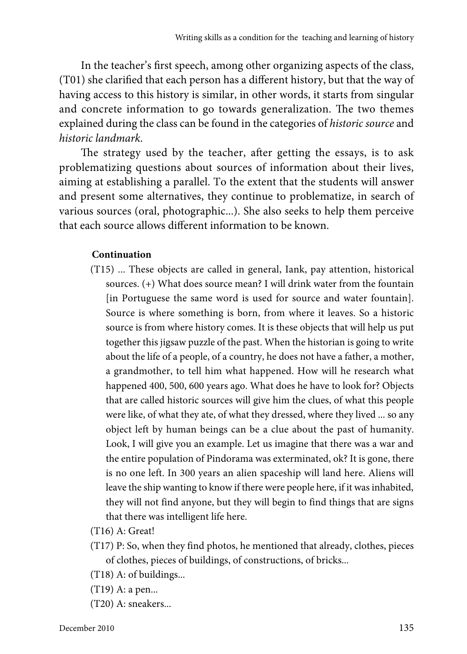In the teacher's first speech, among other organizing aspects of the class, (T01) she clarified that each person has a different history, but that the way of having access to this history is similar, in other words, it starts from singular and concrete information to go towards generalization. The two themes explained during the class can be found in the categories of *historic source* and *historic landmark*.

The strategy used by the teacher, after getting the essays, is to ask problematizing questions about sources of information about their lives, aiming at establishing a parallel. To the extent that the students will answer and present some alternatives, they continue to problematize, in search of various sources (oral, photographic...). She also seeks to help them perceive that each source allows different information to be known.

#### **Continuation**

(T15) ... These objects are called in general, Iank, pay attention, historical sources. (+) What does source mean? I will drink water from the fountain [in Portuguese the same word is used for source and water fountain]. Source is where something is born, from where it leaves. So a historic source is from where history comes. It is these objects that will help us put together this jigsaw puzzle of the past. When the historian is going to write about the life of a people, of a country, he does not have a father, a mother, a grandmother, to tell him what happened. How will he research what happened 400, 500, 600 years ago. What does he have to look for? Objects that are called historic sources will give him the clues, of what this people were like, of what they ate, of what they dressed, where they lived ... so any object left by human beings can be a clue about the past of humanity. Look, I will give you an example. Let us imagine that there was a war and the entire population of Pindorama was exterminated, ok? It is gone, there is no one left. In 300 years an alien spaceship will land here. Aliens will leave the ship wanting to know if there were people here, if it was inhabited, they will not find anyone, but they will begin to find things that are signs that there was intelligent life here.

(T16) A: Great!

- (T17) P: So, when they find photos, he mentioned that already, clothes, pieces of clothes, pieces of buildings, of constructions, of bricks...
- (T18) A: of buildings...
- (T19) A: a pen...
- (T20) A: sneakers...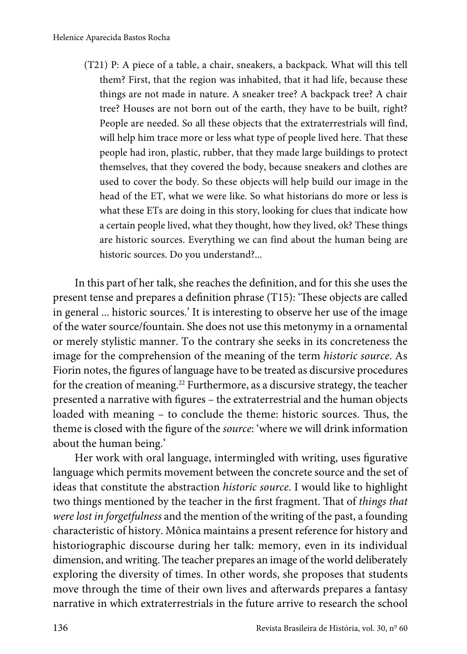(T21) P: A piece of a table, a chair, sneakers, a backpack. What will this tell them? First, that the region was inhabited, that it had life, because these things are not made in nature. A sneaker tree? A backpack tree? A chair tree? Houses are not born out of the earth, they have to be built, right? People are needed. So all these objects that the extraterrestrials will find, will help him trace more or less what type of people lived here. That these people had iron, plastic, rubber, that they made large buildings to protect themselves, that they covered the body, because sneakers and clothes are used to cover the body. So these objects will help build our image in the head of the ET, what we were like. So what historians do more or less is what these ETs are doing in this story, looking for clues that indicate how a certain people lived, what they thought, how they lived, ok? These things are historic sources. Everything we can find about the human being are historic sources. Do you understand?...

In this part of her talk, she reaches the definition, and for this she uses the present tense and prepares a definition phrase (T15): 'These objects are called in general ... historic sources.' It is interesting to observe her use of the image of the water source/fountain. She does not use this metonymy in a ornamental or merely stylistic manner. To the contrary she seeks in its concreteness the image for the comprehension of the meaning of the term *historic source*. As Fiorin notes, the figures of language have to be treated as discursive procedures for the creation of meaning.<sup>22</sup> Furthermore, as a discursive strategy, the teacher presented a narrative with figures – the extraterrestrial and the human objects loaded with meaning – to conclude the theme: historic sources. Thus, the theme is closed with the figure of the *source*: 'where we will drink information about the human being.'

Her work with oral language, intermingled with writing, uses figurative language which permits movement between the concrete source and the set of ideas that constitute the abstraction *historic source*. I would like to highlight two things mentioned by the teacher in the first fragment. That of *things that were lost in forgetfulness* and the mention of the writing of the past, a founding characteristic of history. Mônica maintains a present reference for history and historiographic discourse during her talk: memory, even in its individual dimension, and writing. The teacher prepares an image of the world deliberately exploring the diversity of times. In other words, she proposes that students move through the time of their own lives and afterwards prepares a fantasy narrative in which extraterrestrials in the future arrive to research the school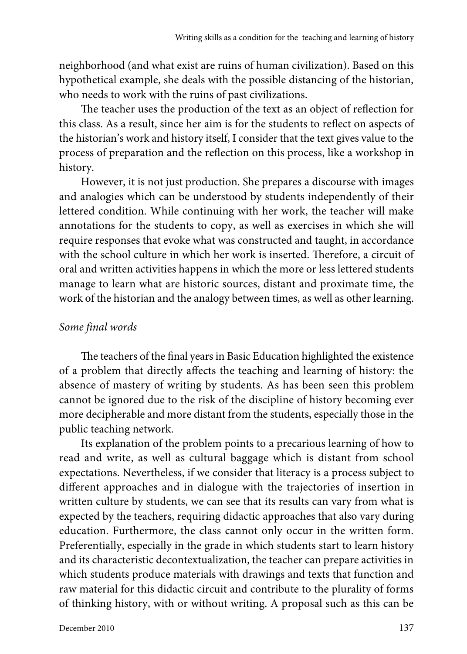neighborhood (and what exist are ruins of human civilization). Based on this hypothetical example, she deals with the possible distancing of the historian, who needs to work with the ruins of past civilizations.

The teacher uses the production of the text as an object of reflection for this class. As a result, since her aim is for the students to reflect on aspects of the historian's work and history itself, I consider that the text gives value to the process of preparation and the reflection on this process, like a workshop in history.

However, it is not just production. She prepares a discourse with images and analogies which can be understood by students independently of their lettered condition. While continuing with her work, the teacher will make annotations for the students to copy, as well as exercises in which she will require responses that evoke what was constructed and taught, in accordance with the school culture in which her work is inserted. Therefore, a circuit of oral and written activities happens in which the more or less lettered students manage to learn what are historic sources, distant and proximate time, the work of the historian and the analogy between times, as well as other learning.

## *Some final words*

The teachers of the final years in Basic Education highlighted the existence of a problem that directly affects the teaching and learning of history: the absence of mastery of writing by students. As has been seen this problem cannot be ignored due to the risk of the discipline of history becoming ever more decipherable and more distant from the students, especially those in the public teaching network.

Its explanation of the problem points to a precarious learning of how to read and write, as well as cultural baggage which is distant from school expectations. Nevertheless, if we consider that literacy is a process subject to different approaches and in dialogue with the trajectories of insertion in written culture by students, we can see that its results can vary from what is expected by the teachers, requiring didactic approaches that also vary during education. Furthermore, the class cannot only occur in the written form. Preferentially, especially in the grade in which students start to learn history and its characteristic decontextualization, the teacher can prepare activities in which students produce materials with drawings and texts that function and raw material for this didactic circuit and contribute to the plurality of forms of thinking history, with or without writing. A proposal such as this can be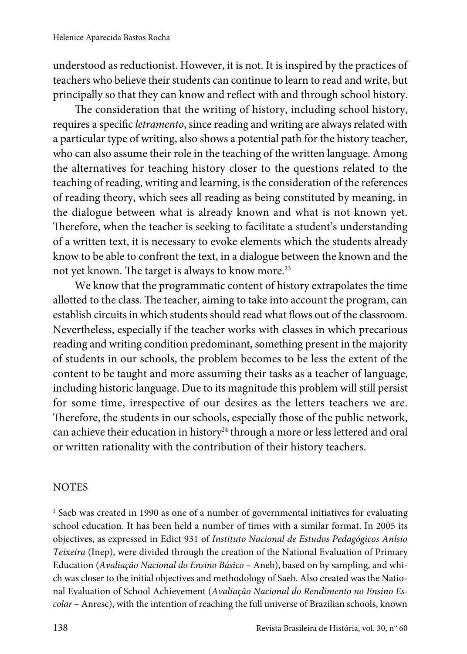understood as reductionist. However, it is not. It is inspired by the practices of teachers who believe their students can continue to learn to read and write, but principally so that they can know and reflect with and through school history.

The consideration that the writing of history, including school history, requires a specific *letramento*, since reading and writing are always related with a particular type of writing, also shows a potential path for the history teacher, who can also assume their role in the teaching of the written language. Among the alternatives for teaching history closer to the questions related to the teaching of reading, writing and learning, is the consideration of the references of reading theory, which sees all reading as being constituted by meaning, in the dialogue between what is already known and what is not known yet. Therefore, when the teacher is seeking to facilitate a student's understanding of a written text, it is necessary to evoke elements which the students already know to be able to confront the text, in a dialogue between the known and the not yet known. The target is always to know more.<sup>23</sup>

We know that the programmatic content of history extrapolates the time allotted to the class. The teacher, aiming to take into account the program, can establish circuits in which students should read what flows out of the classroom. Nevertheless, especially if the teacher works with classes in which precarious reading and writing condition predominant, something present in the majority of students in our schools, the problem becomes to be less the extent of the content to be taught and more assuming their tasks as a teacher of language, including historic language. Due to its magnitude this problem will still persist for some time, irrespective of our desires as the letters teachers we are. Therefore, the students in our schools, especially those of the public network, can achieve their education in history<sup>24</sup> through a more or less lettered and oral or written rationality with the contribution of their history teachers.

#### NOTES

1 Saeb was created in 1990 as one of a number of governmental initiatives for evaluating school education. It has been held a number of times with a similar format. In 2005 its objectives, as expressed in Edict 931 of *Instituto Nacional de Estudos Pedagógicos Anísio Teixeira* (Inep), were divided through the creation of the National Evaluation of Primary Education (*Avaliação Nacional do Ensino Básico* – Aneb), based on by sampling, and which was closer to the initial objectives and methodology of Saeb. Also created was the National Evaluation of School Achievement (*Avaliação Nacional do Rendimento no Ensino Escolar* – Anresc), with the intention of reaching the full universe of Brazilian schools, known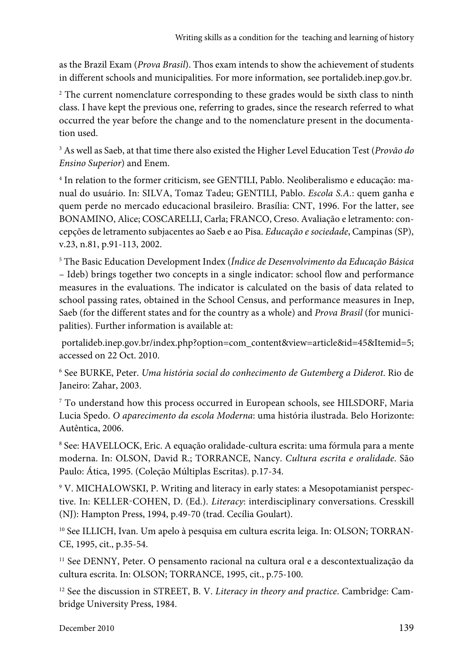as the Brazil Exam (*Prova Brasil*). Thos exam intends to show the achievement of students in different schools and municipalities. For more information, see portalideb.inep.gov.br.

2 The current nomenclature corresponding to these grades would be sixth class to ninth class. I have kept the previous one, referring to grades, since the research referred to what occurred the year before the change and to the nomenclature present in the documentation used.

3 As well as Saeb, at that time there also existed the Higher Level Education Test (*Provão do Ensino Superior*) and Enem.

4 In relation to the former criticism, see GENTILI, Pablo. Neoliberalismo e educação: manual do usuário. In: SILVA, Tomaz Tadeu; GENTILI, Pablo. *Escola S.A.*: quem ganha e quem perde no mercado educacional brasileiro. Brasília: CNT, 1996. For the latter, see BONAMINO, Alice; COSCARELLI, Carla; FRANCO, Creso. Avaliação e letramento: concepções de letramento subjacentes ao Saeb e ao Pisa. *Educação e sociedade*, Campinas (SP), v.23, n.81, p.91-113, 2002.

5 The Basic Education Development Index (*Índice de Desenvolvimento da Educação Básica* – Ideb) brings together two concepts in a single indicator: school flow and performance measures in the evaluations. The indicator is calculated on the basis of data related to school passing rates, obtained in the School Census, and performance measures in Inep, Saeb (for the different states and for the country as a whole) and *Prova Brasil* (for municipalities). Further information is available at:

portalideb.inep.gov.br/index.php?option=com\_content&view=article&id=45&Itemid=5; accessed on 22 Oct. 2010.

6 See BURKE, Peter. *Uma história social do conhecimento de Gutemberg a Diderot*. Rio de Janeiro: Zahar, 2003.

7 To understand how this process occurred in European schools, see HILSDORF, Maria Lucia Spedo. *O aparecimento da escola Moderna*: uma história ilustrada. Belo Horizonte: Autêntica, 2006.

8 See: HAVELLOCK, Eric. A equação oralidade-cultura escrita: uma fórmula para a mente moderna. In: OLSON, David R.; TORRANCE, Nancy. *Cultura escrita e oralidade*. São Paulo: Ática, 1995. (Coleção Múltiplas Escritas). p.17-34.

9 V. MICHALOWSKI, P. Writing and literacy in early states: a Mesopotamianist perspective. In: Keller-Cohen, D. (Ed.). *Literacy*: interdisciplinary conversations. Cresskill (NJ): Hampton Press, 1994, p.49-70 (trad. Cecília Goulart).

<sup>10</sup> See ILLICH, Ivan. Um apelo à pesquisa em cultura escrita leiga. In: OLSON; TORRAN-CE, 1995, cit., p.35-54.

11 See DENNY, Peter. O pensamento racional na cultura oral e a descontextualização da cultura escrita. In: OLSON; TORRANCE, 1995, cit., p.75-100.

12 See the discussion in STREET, B. V. *Literacy in theory and practice*. Cambridge: Cambridge University Press, 1984.